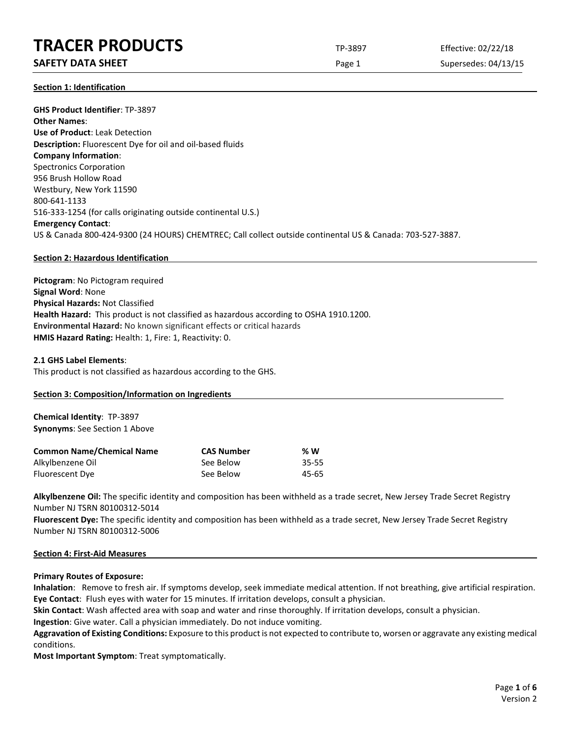## **SAFETY DATA SHEET** SUPERFOUR CONSIDERING Page 1 Supersedes: 04/13/15

**Section 1: Identification**

**GHS Product Identifier**: TP-3897 **Other Names**: **Use of Product**: Leak Detection **Description:** Fluorescent Dye for oil and oil-based fluids **Company Information**: Spectronics Corporation 956 Brush Hollow Road Westbury, New York 11590 800-641-1133 516-333-1254 (for calls originating outside continental U.S.) **Emergency Contact**: US & Canada 800-424-9300 (24 HOURS) CHEMTREC; Call collect outside continental US & Canada: 703-527-3887.

#### **Section 2: Hazardous Identification**

**Pictogram**: No Pictogram required **Signal Word**: None **Physical Hazards:** Not Classified **Health Hazard:** This product is not classified as hazardous according to OSHA 1910.1200. **Environmental Hazard:** No known significant effects or critical hazards **HMIS Hazard Rating:** Health: 1, Fire: 1, Reactivity: 0.

#### **2.1 GHS Label Elements**:

This product is not classified as hazardous according to the GHS.

#### **Section 3: Composition/Information on Ingredients**

**Chemical Identity**: TP-3897 **Synonyms**: See Section 1 Above

| <b>Common Name/Chemical Name</b> | <b>CAS Number</b> | % W       |
|----------------------------------|-------------------|-----------|
| Alkylbenzene Oil                 | See Below         | $35 - 55$ |
| Fluorescent Dye                  | See Below         | 45-65     |

**Alkylbenzene Oil:** The specific identity and composition has been withheld as a trade secret, New Jersey Trade Secret Registry Number NJ TSRN 80100312-5014

**Fluorescent Dye:** The specific identity and composition has been withheld as a trade secret, New Jersey Trade Secret Registry Number NJ TSRN 80100312-5006

#### **Section 4: First-Aid Measures**

#### **Primary Routes of Exposure:**

**Inhalation**: Remove to fresh air. If symptoms develop, seek immediate medical attention. If not breathing, give artificial respiration. **Eye Contact**: Flush eyes with water for 15 minutes. If irritation develops, consult a physician.

**Skin Contact**: Wash affected area with soap and water and rinse thoroughly. If irritation develops, consult a physician.

**Ingestion**: Give water. Call a physician immediately. Do not induce vomiting.

**Aggravation of Existing Conditions:** Exposure to this product is not expected to contribute to, worsen or aggravate any existing medical conditions.

**Most Important Symptom**: Treat symptomatically.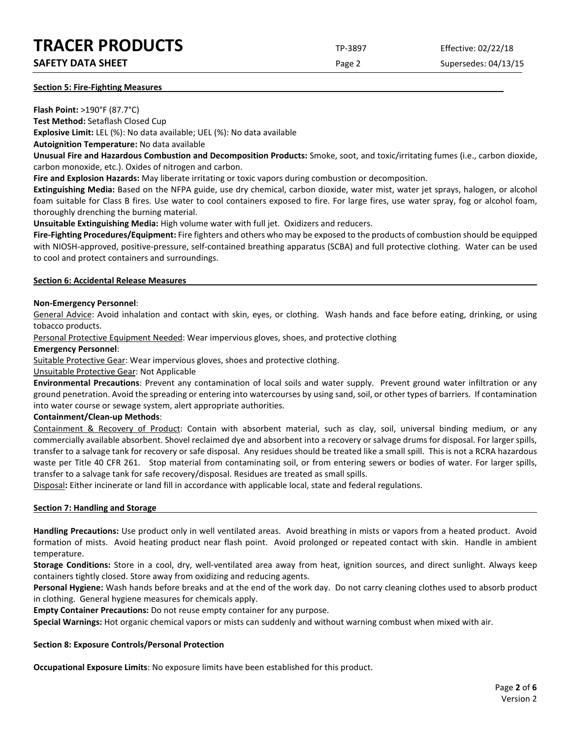## **SAFETY DATA SHEET SUPERTY DATA SHEET Page 2** Supersedes: 04/13/15

#### **Section 5: Fire-Fighting Measures**

**Flash Point:** >190°F (87.7°C)

**Test Method:** Setaflash Closed Cup **Explosive Limit:** LEL (%): No data available; UEL (%): No data available

**Autoignition Temperature:** No data available

**Unusual Fire and Hazardous Combustion and Decomposition Products:** Smoke, soot, and toxic/irritating fumes (i.e., carbon dioxide, carbon monoxide, etc.). Oxides of nitrogen and carbon.

**Fire and Explosion Hazards:** May liberate irritating or toxic vapors during combustion or decomposition.

**Extinguishing Media:** Based on the NFPA guide, use dry chemical, carbon dioxide, water mist, water jet sprays, halogen, or alcohol foam suitable for Class B fires. Use water to cool containers exposed to fire. For large fires, use water spray, fog or alcohol foam, thoroughly drenching the burning material.

**Unsuitable Extinguishing Media:** High volume water with full jet. Oxidizers and reducers.

**Fire-Fighting Procedures/Equipment:** Fire fighters and others who may be exposed to the products of combustion should be equipped with NIOSH-approved, positive-pressure, self-contained breathing apparatus (SCBA) and full protective clothing. Water can be used to cool and protect containers and surroundings.

#### **Section 6: Accidental Release Measures**

#### **Non-Emergency Personnel**:

General Advice: Avoid inhalation and contact with skin, eyes, or clothing. Wash hands and face before eating, drinking, or using tobacco products.

Personal Protective Equipment Needed: Wear impervious gloves, shoes, and protective clothing

#### **Emergency Personnel**:

Suitable Protective Gear: Wear impervious gloves, shoes and protective clothing.

Unsuitable Protective Gear: Not Applicable

**Environmental Precautions**: Prevent any contamination of local soils and water supply. Prevent ground water infiltration or any ground penetration. Avoid the spreading or entering into watercourses by using sand, soil, or other types of barriers. If contamination into water course or sewage system, alert appropriate authorities.

#### **Containment/Clean-up Methods**:

Containment & Recovery of Product: Contain with absorbent material, such as clay, soil, universal binding medium, or any commercially available absorbent. Shovel reclaimed dye and absorbent into a recovery or salvage drums for disposal. For larger spills, transfer to a salvage tank for recovery or safe disposal. Any residues should be treated like a small spill. This is not a RCRA hazardous waste per Title 40 CFR 261. Stop material from contaminating soil, or from entering sewers or bodies of water. For larger spills, transfer to a salvage tank for safe recovery/disposal. Residues are treated as small spills.

Disposal**:** Either incinerate or land fill in accordance with applicable local, state and federal regulations.

#### **Section 7: Handling and Storage**

**Handling Precautions:** Use product only in well ventilated areas. Avoid breathing in mists or vapors from a heated product. Avoid formation of mists. Avoid heating product near flash point. Avoid prolonged or repeated contact with skin. Handle in ambient temperature.

**Storage Conditions:** Store in a cool, dry, well-ventilated area away from heat, ignition sources, and direct sunlight. Always keep containers tightly closed. Store away from oxidizing and reducing agents.

**Personal Hygiene:** Wash hands before breaks and at the end of the work day. Do not carry cleaning clothes used to absorb product in clothing. General hygiene measures for chemicals apply.

**Empty Container Precautions:** Do not reuse empty container for any purpose.

**Special Warnings:** Hot organic chemical vapors or mists can suddenly and without warning combust when mixed with air.

#### **Section 8: Exposure Controls/Personal Protection**

**Occupational Exposure Limits**: No exposure limits have been established for this product.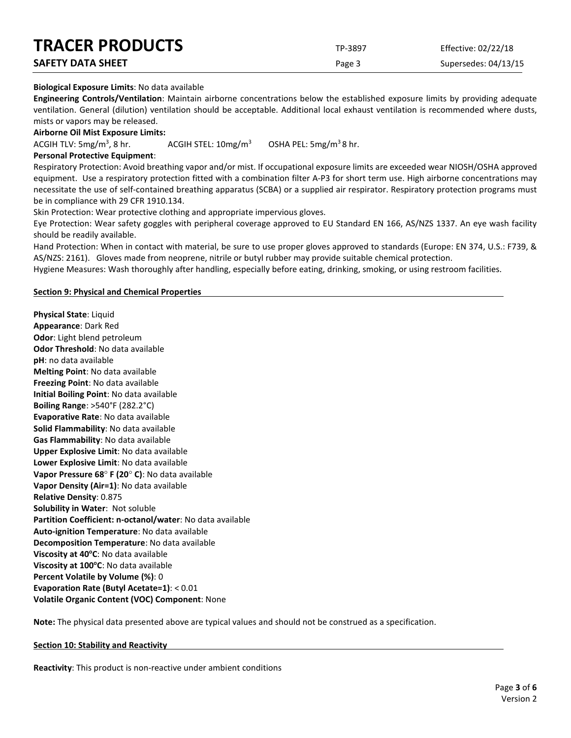| <b>INALEN PRODUCIS</b>   | TP-3897 | Effective: 02/22/18  |
|--------------------------|---------|----------------------|
| <b>SAFETY DATA SHEET</b> | Page 3  | Supersedes: 04/13/15 |

### **Biological Exposure Limits**: No data available

**Engineering Controls/Ventilation**: Maintain airborne concentrations below the established exposure limits by providing adequate ventilation. General (dilution) ventilation should be acceptable. Additional local exhaust ventilation is recommended where dusts, mists or vapors may be released.

**Airborne Oil Mist Exposure Limits:** 

ACGIH TLV:  $5mg/m<sup>3</sup>$ , 8 hr. ACGIH STEL:  $10 \text{mg/m}^3$  OSHA PEL:  $5 \text{mg/m}^3$  8 hr.

#### **Personal Protective Equipment**:

Respiratory Protection: Avoid breathing vapor and/or mist. If occupational exposure limits are exceeded wear NIOSH/OSHA approved equipment. Use a respiratory protection fitted with a combination filter A-P3 for short term use. High airborne concentrations may necessitate the use of self-contained breathing apparatus (SCBA) or a supplied air respirator. Respiratory protection programs must be in compliance with 29 CFR 1910.134.

Skin Protection: Wear protective clothing and appropriate impervious gloves.

Eye Protection: Wear safety goggles with peripheral coverage approved to EU Standard EN 166, AS/NZS 1337. An eye wash facility should be readily available.

Hand Protection: When in contact with material, be sure to use proper gloves approved to standards (Europe: EN 374, U.S.: F739, & AS/NZS: 2161). Gloves made from neoprene, nitrile or butyl rubber may provide suitable chemical protection.

Hygiene Measures: Wash thoroughly after handling, especially before eating, drinking, smoking, or using restroom facilities.

#### **Section 9: Physical and Chemical Properties**

**Physical State**: Liquid **Appearance**: Dark Red **Odor**: Light blend petroleum **Odor Threshold**: No data available **pH**: no data available **Melting Point**: No data available **Freezing Point**: No data available **Initial Boiling Point**: No data available **Boiling Range**: >540°F (282.2°C) **Evaporative Rate**: No data available **Solid Flammability**: No data available **Gas Flammability**: No data available **Upper Explosive Limit**: No data available **Lower Explosive Limit**: No data available **Vapor Pressure 68**° **F (20**° **C)**: No data available **Vapor Density (Air=1)**: No data available **Relative Density**: 0.875 **Solubility in Water**: Not soluble **Partition Coefficient: n-octanol/water**: No data available **Auto-ignition Temperature**: No data available **Decomposition Temperature**: No data available **Viscosity at 40°C**: No data available **Viscosity at 100°C**: No data available **Percent Volatile by Volume (%)**: 0 **Evaporation Rate (Butyl Acetate=1)**: < 0.01 **Volatile Organic Content (VOC) Component**: None

**Note:** The physical data presented above are typical values and should not be construed as a specification.

#### **Section 10: Stability and Reactivity**

**Reactivity**: This product is non-reactive under ambient conditions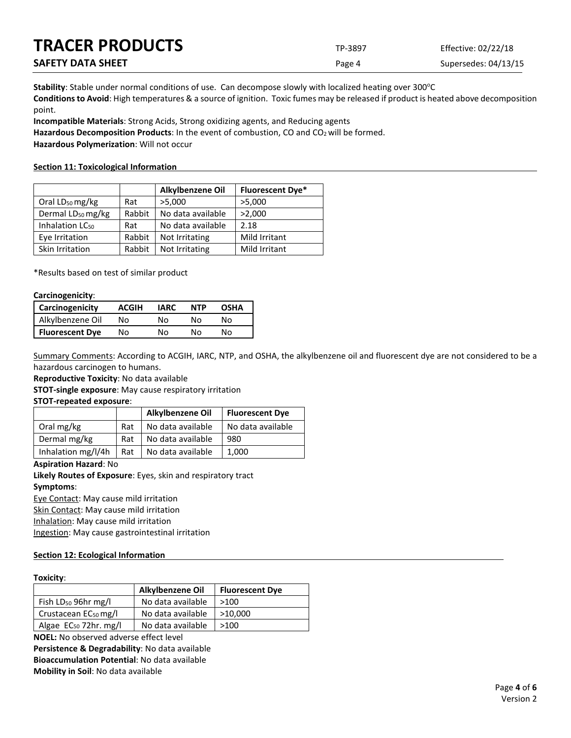| <b>TRACER PRODUCTS</b>   | TP-3897 | Effective: 02/22/18  |
|--------------------------|---------|----------------------|
| <b>SAFETY DATA SHEET</b> | Page 4  | Supersedes: 04/13/15 |

Stability: Stable under normal conditions of use. Can decompose slowly with localized heating over 300°C **Conditions to Avoid**: High temperatures & a source of ignition. Toxic fumes may be released if product is heated above decomposition point.

**Incompatible Materials**: Strong Acids, Strong oxidizing agents, and Reducing agents

Hazardous Decomposition Products: In the event of combustion, CO and CO<sub>2</sub> will be formed.

**Hazardous Polymerization**: Will not occur

#### **Section 11: Toxicological Information**

|                               |        | Alkylbenzene Oil  | <b>Fluorescent Dye*</b> |
|-------------------------------|--------|-------------------|-------------------------|
| Oral LD <sub>50</sub> mg/kg   | Rat    | >5,000            | >5,000                  |
| Dermal LD <sub>50</sub> mg/kg | Rabbit | No data available | >2,000                  |
| Inhalation LC <sub>50</sub>   | Rat    | No data available | 2.18                    |
| Eye Irritation                | Rabbit | Not Irritating    | Mild Irritant           |
| Skin Irritation               | Rabbit | Not Irritating    | Mild Irritant           |

\*Results based on test of similar product

#### **Carcinogenicity**:

| <b>Carcinogenicity</b> | <b>ACGIH</b> | IARC | <b>NTP</b> | <b>OSHA</b> |
|------------------------|--------------|------|------------|-------------|
| Alkylbenzene Oil       | N٥           | N٥   | N٥         | N٥          |
| <b>Fluorescent Dye</b> | Nο           | N٥   | N٥         | N٥          |

Summary Comments: According to ACGIH, IARC, NTP, and OSHA, the alkylbenzene oil and fluorescent dye are not considered to be a hazardous carcinogen to humans.

**Reproductive Toxicity**: No data available

**STOT-single exposure**: May cause respiratory irritation

#### **STOT-repeated exposure**:

|                    |     | Alkylbenzene Oil  | <b>Fluorescent Dye</b> |
|--------------------|-----|-------------------|------------------------|
| Oral mg/kg         | Rat | No data available | No data available      |
| Dermal mg/kg       | Rat | No data available | 980                    |
| Inhalation mg/l/4h | Rat | No data available | 1,000                  |

#### **Aspiration Hazard**: No

**Likely Routes of Exposure**: Eyes, skin and respiratory tract **Symptoms**:

Eye Contact: May cause mild irritation

Skin Contact: May cause mild irritation

Inhalation: May cause mild irritation

Ingestion: May cause gastrointestinal irritation

#### **Section 12: Ecological Information**

#### **Toxicity**:

|                                   | Alkylbenzene Oil  | <b>Fluorescent Dye</b> |
|-----------------------------------|-------------------|------------------------|
| Fish $LD_{50}$ 96hr mg/l          | No data available | >100                   |
| Crustacean $EC_{50}$ mg/l         | No data available | >10.000                |
| Algae EC <sub>50</sub> 72hr. mg/l | No data available | >100                   |

**NOEL:** No observed adverse effect level **Persistence & Degradability**: No data available **Bioaccumulation Potential**: No data available **Mobility in Soil**: No data available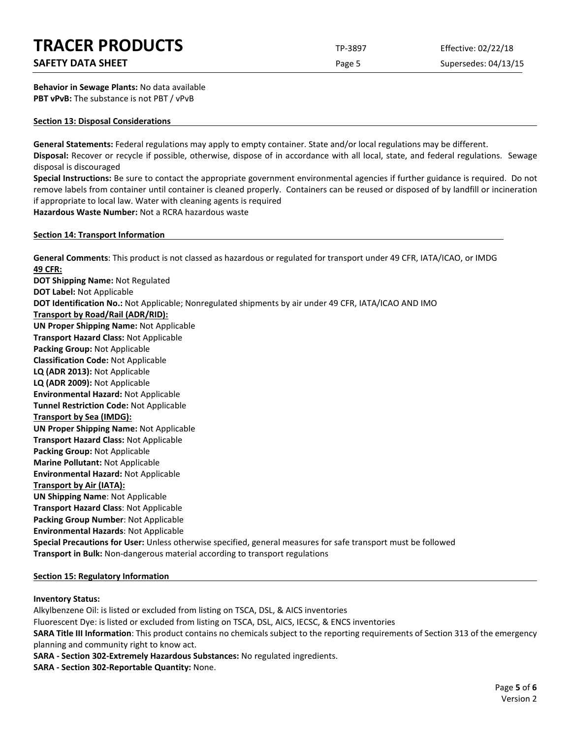## **SAFETY DATA SHEET** SUPERFOUR CONSIDERING Page 5 Supersedes: 04/13/15

**Behavior in Sewage Plants:** No data available **PBT vPvB:** The substance is not PBT / vPvB

#### **Section 13: Disposal Considerations**

**General Statements:** Federal regulations may apply to empty container. State and/or local regulations may be different. **Disposal:** Recover or recycle if possible, otherwise, dispose of in accordance with all local, state, and federal regulations. Sewage disposal is discouraged

**Special Instructions:** Be sure to contact the appropriate government environmental agencies if further guidance is required. Do not remove labels from container until container is cleaned properly. Containers can be reused or disposed of by landfill or incineration if appropriate to local law. Water with cleaning agents is required **Hazardous Waste Number:** Not a RCRA hazardous waste

**Section 14: Transport Information**

**General Comments**: This product is not classed as hazardous or regulated for transport under 49 CFR, IATA/ICAO, or IMDG **49 CFR: DOT Shipping Name:** Not Regulated **DOT Label:** Not Applicable **DOT Identification No.:** Not Applicable; Nonregulated shipments by air under 49 CFR, IATA/ICAO AND IMO **Transport by Road/Rail (ADR/RID): UN Proper Shipping Name:** Not Applicable **Transport Hazard Class:** Not Applicable **Packing Group:** Not Applicable **Classification Code:** Not Applicable **LQ (ADR 2013):** Not Applicable **LQ (ADR 2009):** Not Applicable **Environmental Hazard:** Not Applicable **Tunnel Restriction Code:** Not Applicable **Transport by Sea (IMDG): UN Proper Shipping Name:** Not Applicable **Transport Hazard Class:** Not Applicable **Packing Group:** Not Applicable **Marine Pollutant:** Not Applicable **Environmental Hazard:** Not Applicable **Transport by Air (IATA): UN Shipping Name**: Not Applicable **Transport Hazard Class**: Not Applicable **Packing Group Number**: Not Applicable **Environmental Hazards**: Not Applicable **Special Precautions for User:** Unless otherwise specified, general measures for safe transport must be followed **Transport in Bulk:** Non-dangerous material according to transport regulations

#### **Section 15: Regulatory Information**

#### **Inventory Status:**

Alkylbenzene Oil: is listed or excluded from listing on TSCA, DSL, & AICS inventories Fluorescent Dye: is listed or excluded from listing on TSCA, DSL, AICS, IECSC, & ENCS inventories **SARA Title III Information**: This product contains no chemicals subject to the reporting requirements of Section 313 of the emergency planning and community right to know act. **SARA - Section 302-Extremely Hazardous Substances:** No regulated ingredients.

**SARA - Section 302-Reportable Quantity:** None.